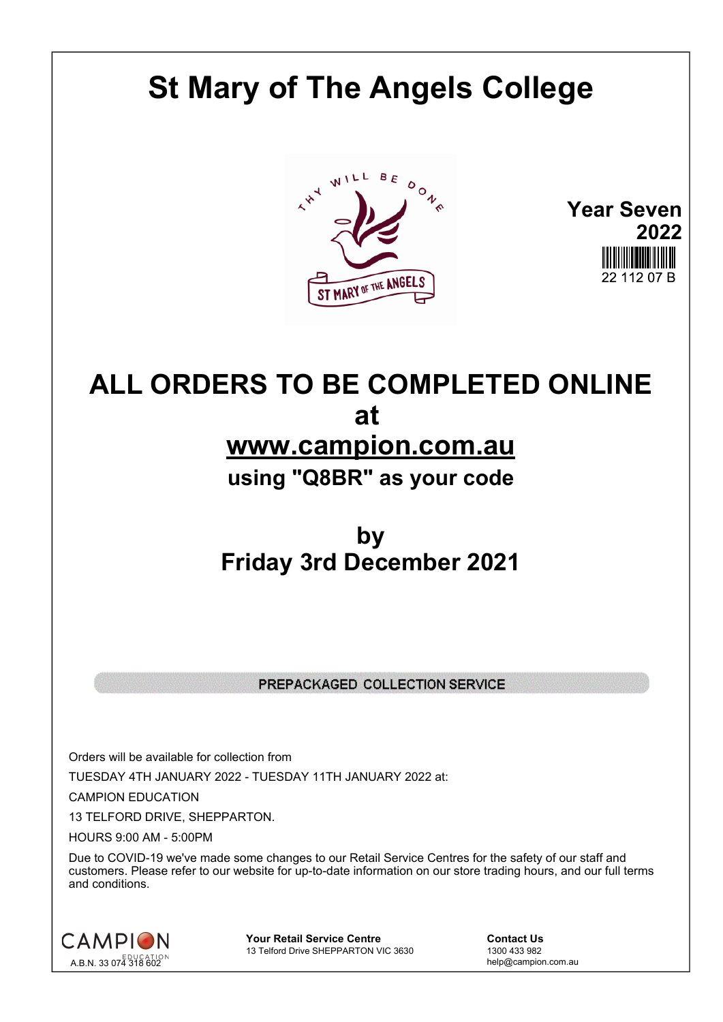## **St Mary of The Angels College**



**Year Seven 2022** 22 112 07 B

## **ALL ORDERS TO BE COMPLETED ONLINE at www.campion.com.au using "Q8BR" as your code**

## **by Friday 3rd December 2021**

## PREPACKAGED COLLECTION SERVICE

Orders will be available for collection from TUESDAY 4TH JANUARY 2022 - TUESDAY 11TH JANUARY 2022 at:

CAMPION EDUCATION

13 TELFORD DRIVE, SHEPPARTON.

HOURS 9:00 AM - 5:00PM

Due to COVID-19 we've made some changes to our Retail Service Centres for the safety of our staff and customers. Please refer to our website for up-to-date information on our store trading hours, and our full terms and conditions.



**Your Retail Service Centre Contact Us**<br>
13 Telford Drive SHEPPARTON VIC 3630
<br>
1300 433 982 13 Telford Drive SHEPPARTON VIC 3630

help@campion.com.au